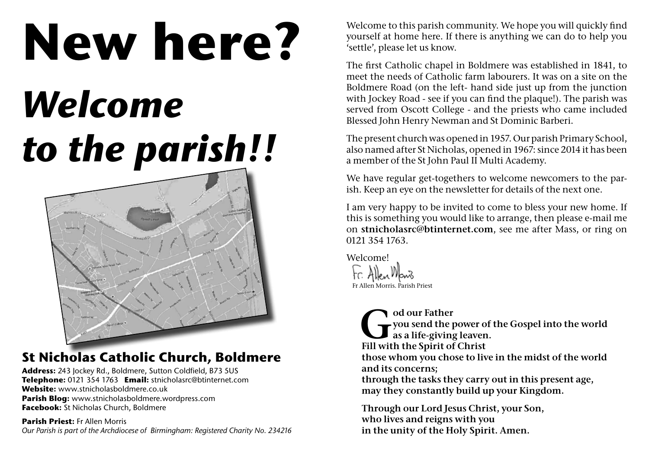# **New here?**

## *Welcome to the parish!!*



### **St Nicholas Catholic Church, Boldmere**

**Address:** 243 Jockey Rd., Boldmere, Sutton Coldfield, B73 5US **Telephone:** 0121 354 1763 **Email:** stnicholasrc@btinternet.com **Website:** www.stnicholasboldmere.co.uk **Parish Blog:** www.stnicholasboldmere.wordpress.com **Facebook:** St Nicholas Church, Boldmere

**Parish Priest:** Fr Allen Morris *Our Parish is part of the Archdiocese of Birmingham: Registered Charity No. 234216* Welcome to this parish community. We hope you will quickly find yourself at home here. If there is anything we can do to help you 'settle', please let us know.

The first Catholic chapel in Boldmere was established in 1841, to meet the needs of Catholic farm labourers. It was on a site on the Boldmere Road (on the left- hand side just up from the junction with Jockey Road - see if you can find the plaque!). The parish was served from Oscott College - and the priests who came included Blessed John Henry Newman and St Dominic Barberi.

The present church was opened in 1957. Our parish Primary School, also named after St Nicholas, opened in 1967: since 2014 it has been a member of the St John Paul II Multi Academy.

We have regular get-togethers to welcome newcomers to the parish. Keep an eye on the newsletter for details of the next one.

I am very happy to be invited to come to bless your new home. If this is something you would like to arrange, then please e-mail me on **stnicholasrc@btinternet.com**, see me after Mass, or ring on 0121 354 1763.

Fr Allen Morris. Parish Priest Welcome!

> od our Father<br>you send the priving<br>Fill with the Spirit of **you send the power of the Gospel into the world as a life-giving leaven. Fill with the Spirit of Christ those whom you chose to live in the midst of the world and its concerns; through the tasks they carry out in this present age, may they constantly build up your Kingdom.**

**Through our Lord Jesus Christ, your Son, who lives and reigns with you in the unity of the Holy Spirit. Amen.**